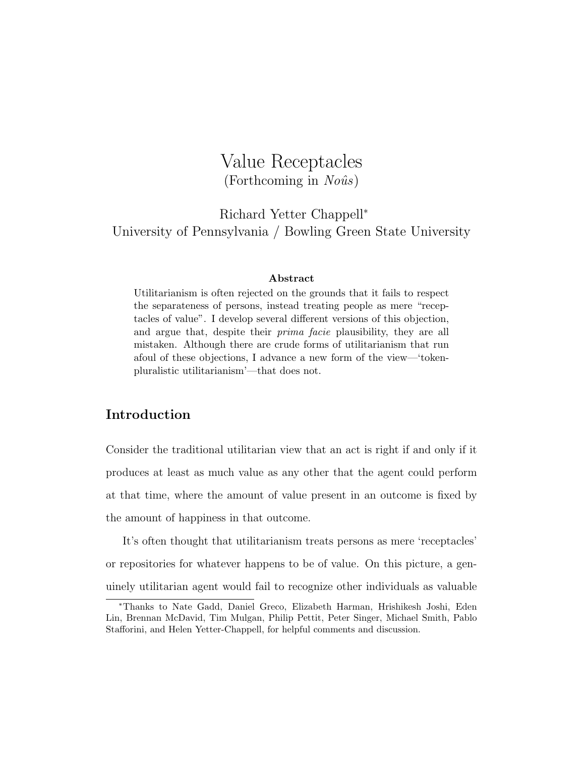# Value Receptacles  $(For the coming in No\hat{u}s)$

Richard Yetter Chappell<sup>∗</sup> University of Pennsylvania / Bowling Green State University

#### Abstract

Utilitarianism is often rejected on the grounds that it fails to respect the separateness of persons, instead treating people as mere "receptacles of value". I develop several different versions of this objection, and argue that, despite their prima facie plausibility, they are all mistaken. Although there are crude forms of utilitarianism that run afoul of these objections, I advance a new form of the view—'tokenpluralistic utilitarianism'—that does not.

# Introduction

Consider the traditional utilitarian view that an act is right if and only if it produces at least as much value as any other that the agent could perform at that time, where the amount of value present in an outcome is fixed by the amount of happiness in that outcome.

It's often thought that utilitarianism treats persons as mere 'receptacles' or repositories for whatever happens to be of value. On this picture, a genuinely utilitarian agent would fail to recognize other individuals as valuable

<sup>∗</sup>Thanks to Nate Gadd, Daniel Greco, Elizabeth Harman, Hrishikesh Joshi, Eden Lin, Brennan McDavid, Tim Mulgan, Philip Pettit, Peter Singer, Michael Smith, Pablo Stafforini, and Helen Yetter-Chappell, for helpful comments and discussion.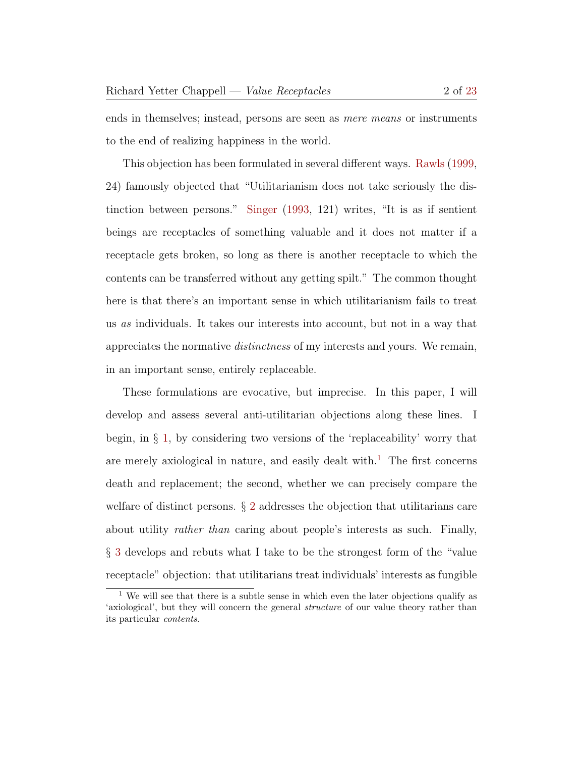ends in themselves; instead, persons are seen as mere means or instruments to the end of realizing happiness in the world.

This objection has been formulated in several different ways. [Rawls](#page-22-1) [\(1999,](#page-22-1) 24) famously objected that "Utilitarianism does not take seriously the distinction between persons." [Singer](#page-22-2) [\(1993,](#page-22-2) 121) writes, "It is as if sentient beings are receptacles of something valuable and it does not matter if a receptacle gets broken, so long as there is another receptacle to which the contents can be transferred without any getting spilt." The common thought here is that there's an important sense in which utilitarianism fails to treat us as individuals. It takes our interests into account, but not in a way that appreciates the normative distinctness of my interests and yours. We remain, in an important sense, entirely replaceable.

These formulations are evocative, but imprecise. In this paper, I will develop and assess several anti-utilitarian objections along these lines. I begin, in  $\S$  [1,](#page-3-0) by considering two versions of the 'replaceability' worry that are merely axiological in nature, and easily dealt with.<sup>[1](#page-1-0)</sup> The first concerns death and replacement; the second, whether we can precisely compare the welfare of distinct persons. § [2](#page-5-0) addresses the objection that utilitarians care about utility *rather than* caring about people's interests as such. Finally, § [3](#page-8-0) develops and rebuts what I take to be the strongest form of the "value receptacle" objection: that utilitarians treat individuals' interests as fungible

<span id="page-1-0"></span><sup>&</sup>lt;sup>1</sup> We will see that there is a subtle sense in which even the later objections qualify as 'axiological', but they will concern the general structure of our value theory rather than its particular contents.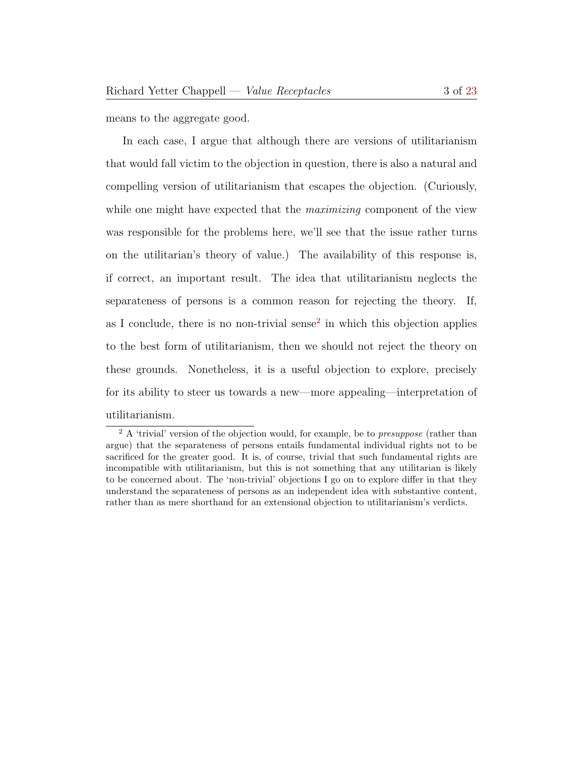means to the aggregate good.

In each case, I argue that although there are versions of utilitarianism that would fall victim to the objection in question, there is also a natural and compelling version of utilitarianism that escapes the objection. (Curiously, while one might have expected that the *maximizing* component of the view was responsible for the problems here, we'll see that the issue rather turns on the utilitarian's theory of value.) The availability of this response is, if correct, an important result. The idea that utilitarianism neglects the separateness of persons is a common reason for rejecting the theory. If, as I conclude, there is no non-trivial sense<sup>[2](#page-2-0)</sup> in which this objection applies to the best form of utilitarianism, then we should not reject the theory on these grounds. Nonetheless, it is a useful objection to explore, precisely for its ability to steer us towards a new—more appealing—interpretation of utilitarianism.

<span id="page-2-0"></span> $2 A$  'trivial' version of the objection would, for example, be to *presuppose* (rather than argue) that the separateness of persons entails fundamental individual rights not to be sacrificed for the greater good. It is, of course, trivial that such fundamental rights are incompatible with utilitarianism, but this is not something that any utilitarian is likely to be concerned about. The 'non-trivial' objections I go on to explore differ in that they understand the separateness of persons as an independent idea with substantive content, rather than as mere shorthand for an extensional objection to utilitarianism's verdicts.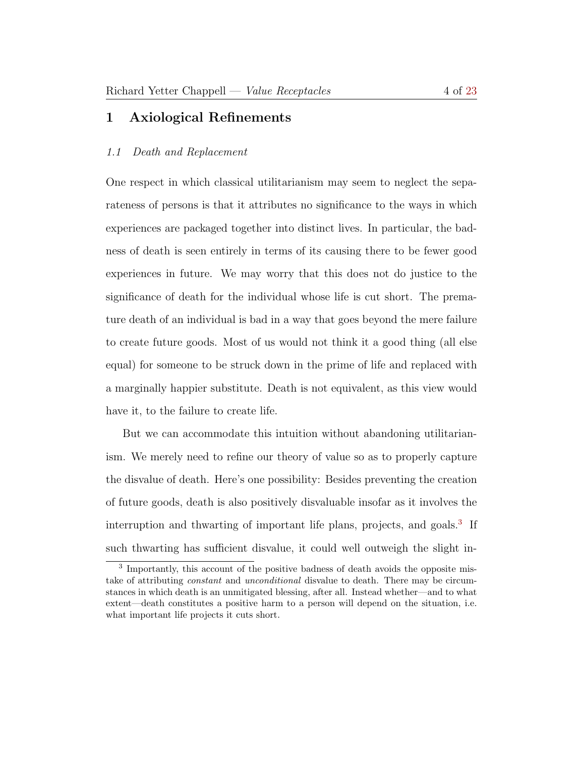# <span id="page-3-0"></span>1 Axiological Refinements

## 1.1 Death and Replacement

One respect in which classical utilitarianism may seem to neglect the separateness of persons is that it attributes no significance to the ways in which experiences are packaged together into distinct lives. In particular, the badness of death is seen entirely in terms of its causing there to be fewer good experiences in future. We may worry that this does not do justice to the significance of death for the individual whose life is cut short. The premature death of an individual is bad in a way that goes beyond the mere failure to create future goods. Most of us would not think it a good thing (all else equal) for someone to be struck down in the prime of life and replaced with a marginally happier substitute. Death is not equivalent, as this view would have it, to the failure to create life.

But we can accommodate this intuition without abandoning utilitarianism. We merely need to refine our theory of value so as to properly capture the disvalue of death. Here's one possibility: Besides preventing the creation of future goods, death is also positively disvaluable insofar as it involves the interruption and thwarting of important life plans, projects, and goals.<sup>[3](#page-3-1)</sup> If such thwarting has sufficient disvalue, it could well outweigh the slight in-

<span id="page-3-1"></span><sup>&</sup>lt;sup>3</sup> Importantly, this account of the positive badness of death avoids the opposite mistake of attributing constant and unconditional disvalue to death. There may be circumstances in which death is an unmitigated blessing, after all. Instead whether—and to what extent—death constitutes a positive harm to a person will depend on the situation, i.e. what important life projects it cuts short.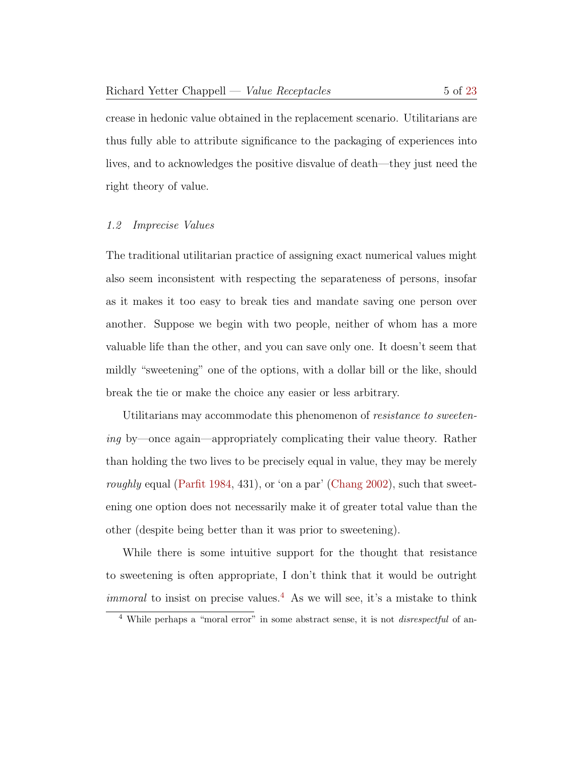crease in hedonic value obtained in the replacement scenario. Utilitarians are thus fully able to attribute significance to the packaging of experiences into lives, and to acknowledges the positive disvalue of death—they just need the right theory of value.

### 1.2 Imprecise Values

The traditional utilitarian practice of assigning exact numerical values might also seem inconsistent with respecting the separateness of persons, insofar as it makes it too easy to break ties and mandate saving one person over another. Suppose we begin with two people, neither of whom has a more valuable life than the other, and you can save only one. It doesn't seem that mildly "sweetening" one of the options, with a dollar bill or the like, should break the tie or make the choice any easier or less arbitrary.

Utilitarians may accommodate this phenomenon of *resistance to sweeten*ing by—once again—appropriately complicating their value theory. Rather than holding the two lives to be precisely equal in value, they may be merely roughly equal [\(Parfit](#page-22-3) [1984,](#page-22-3) 431), or 'on a par' [\(Chang](#page-22-4) [2002\)](#page-22-4), such that sweetening one option does not necessarily make it of greater total value than the other (despite being better than it was prior to sweetening).

While there is some intuitive support for the thought that resistance to sweetening is often appropriate, I don't think that it would be outright *immoral* to insist on precise values.<sup>[4](#page-4-0)</sup> As we will see, it's a mistake to think

<span id="page-4-0"></span><sup>&</sup>lt;sup>4</sup> While perhaps a "moral error" in some abstract sense, it is not *disrespectful* of an-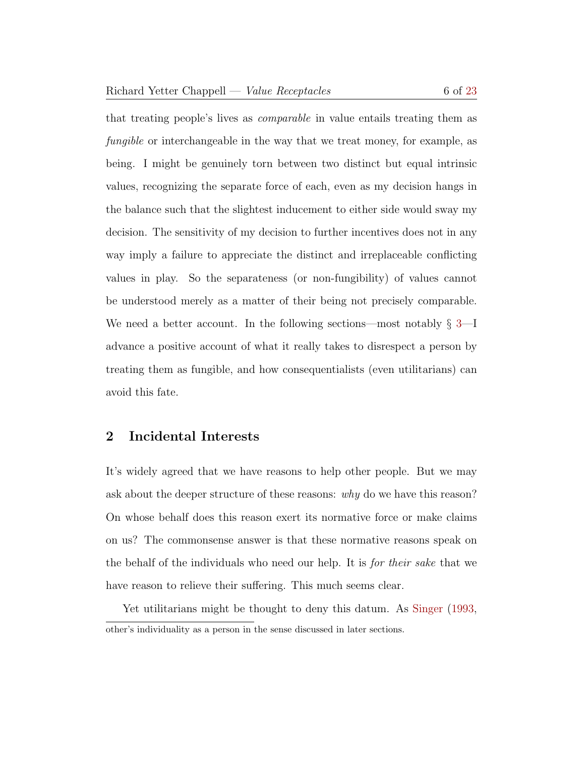that treating people's lives as comparable in value entails treating them as fungible or interchangeable in the way that we treat money, for example, as being. I might be genuinely torn between two distinct but equal intrinsic values, recognizing the separate force of each, even as my decision hangs in the balance such that the slightest inducement to either side would sway my decision. The sensitivity of my decision to further incentives does not in any way imply a failure to appreciate the distinct and irreplaceable conflicting values in play. So the separateness (or non-fungibility) of values cannot be understood merely as a matter of their being not precisely comparable. We need a better account. In the following sections—most notably  $\S 3$ —I advance a positive account of what it really takes to disrespect a person by treating them as fungible, and how consequentialists (even utilitarians) can avoid this fate.

## <span id="page-5-0"></span>2 Incidental Interests

It's widely agreed that we have reasons to help other people. But we may ask about the deeper structure of these reasons: why do we have this reason? On whose behalf does this reason exert its normative force or make claims on us? The commonsense answer is that these normative reasons speak on the behalf of the individuals who need our help. It is for their sake that we have reason to relieve their suffering. This much seems clear.

Yet utilitarians might be thought to deny this datum. As [Singer](#page-22-2) [\(1993,](#page-22-2) other's individuality as a person in the sense discussed in later sections.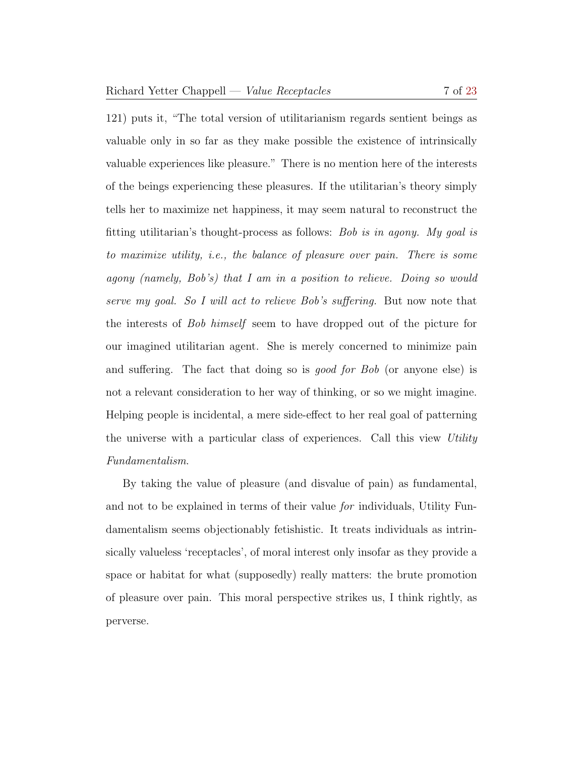121) puts it, "The total version of utilitarianism regards sentient beings as valuable only in so far as they make possible the existence of intrinsically valuable experiences like pleasure." There is no mention here of the interests of the beings experiencing these pleasures. If the utilitarian's theory simply tells her to maximize net happiness, it may seem natural to reconstruct the fitting utilitarian's thought-process as follows: Bob is in agony. My goal is to maximize utility, i.e., the balance of pleasure over pain. There is some agony (namely, Bob's) that I am in a position to relieve. Doing so would serve my goal. So I will act to relieve Bob's suffering. But now note that the interests of Bob himself seem to have dropped out of the picture for our imagined utilitarian agent. She is merely concerned to minimize pain and suffering. The fact that doing so is good for Bob (or anyone else) is not a relevant consideration to her way of thinking, or so we might imagine. Helping people is incidental, a mere side-effect to her real goal of patterning the universe with a particular class of experiences. Call this view Utility Fundamentalism.

By taking the value of pleasure (and disvalue of pain) as fundamental, and not to be explained in terms of their value for individuals, Utility Fundamentalism seems objectionably fetishistic. It treats individuals as intrinsically valueless 'receptacles', of moral interest only insofar as they provide a space or habitat for what (supposedly) really matters: the brute promotion of pleasure over pain. This moral perspective strikes us, I think rightly, as perverse.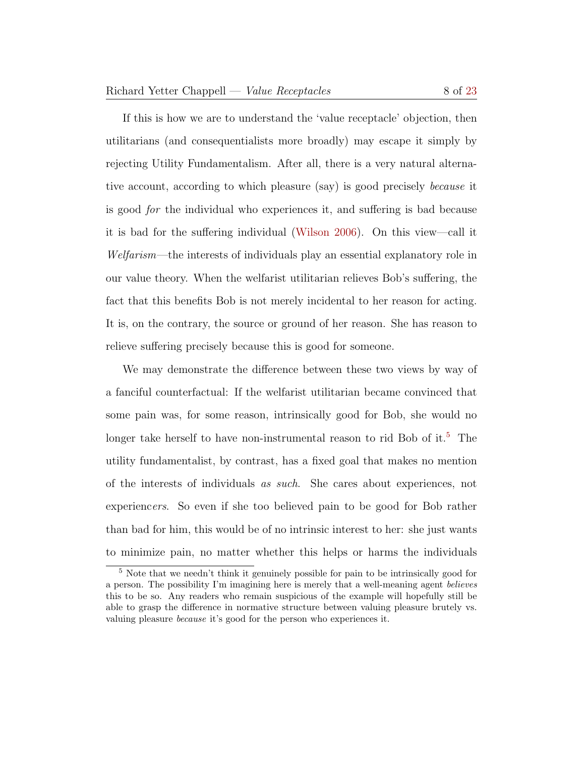If this is how we are to understand the 'value receptacle' objection, then utilitarians (and consequentialists more broadly) may escape it simply by rejecting Utility Fundamentalism. After all, there is a very natural alternative account, according to which pleasure (say) is good precisely because it is good for the individual who experiences it, and suffering is bad because it is bad for the suffering individual [\(Wilson](#page-22-5) [2006\)](#page-22-5). On this view—call it Welfarism—the interests of individuals play an essential explanatory role in our value theory. When the welfarist utilitarian relieves Bob's suffering, the fact that this benefits Bob is not merely incidental to her reason for acting. It is, on the contrary, the source or ground of her reason. She has reason to relieve suffering precisely because this is good for someone.

We may demonstrate the difference between these two views by way of a fanciful counterfactual: If the welfarist utilitarian became convinced that some pain was, for some reason, intrinsically good for Bob, she would no longer take herself to have non-instrumental reason to rid Bob of it.<sup>[5](#page-7-0)</sup> The utility fundamentalist, by contrast, has a fixed goal that makes no mention of the interests of individuals as such. She cares about experiences, not experiencers. So even if she too believed pain to be good for Bob rather than bad for him, this would be of no intrinsic interest to her: she just wants to minimize pain, no matter whether this helps or harms the individuals

<span id="page-7-0"></span><sup>5</sup> Note that we needn't think it genuinely possible for pain to be intrinsically good for a person. The possibility I'm imagining here is merely that a well-meaning agent believes this to be so. Any readers who remain suspicious of the example will hopefully still be able to grasp the difference in normative structure between valuing pleasure brutely vs. valuing pleasure because it's good for the person who experiences it.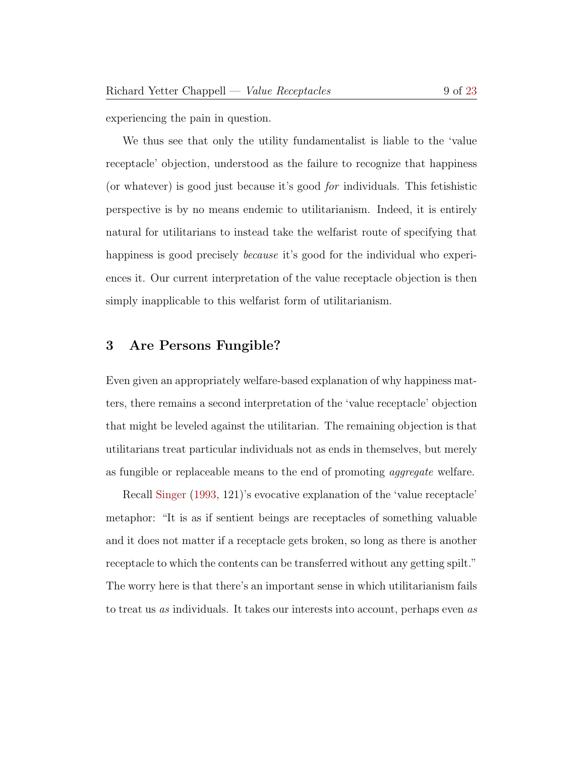experiencing the pain in question.

We thus see that only the utility fundamentalist is liable to the 'value receptacle' objection, understood as the failure to recognize that happiness (or whatever) is good just because it's good for individuals. This fetishistic perspective is by no means endemic to utilitarianism. Indeed, it is entirely natural for utilitarians to instead take the welfarist route of specifying that happiness is good precisely *because* it's good for the individual who experiences it. Our current interpretation of the value receptacle objection is then simply inapplicable to this welfarist form of utilitarianism.

## <span id="page-8-0"></span>3 Are Persons Fungible?

Even given an appropriately welfare-based explanation of why happiness matters, there remains a second interpretation of the 'value receptacle' objection that might be leveled against the utilitarian. The remaining objection is that utilitarians treat particular individuals not as ends in themselves, but merely as fungible or replaceable means to the end of promoting aggregate welfare.

Recall [Singer](#page-22-2) [\(1993,](#page-22-2) 121)'s evocative explanation of the 'value receptacle' metaphor: "It is as if sentient beings are receptacles of something valuable and it does not matter if a receptacle gets broken, so long as there is another receptacle to which the contents can be transferred without any getting spilt." The worry here is that there's an important sense in which utilitarianism fails to treat us as individuals. It takes our interests into account, perhaps even as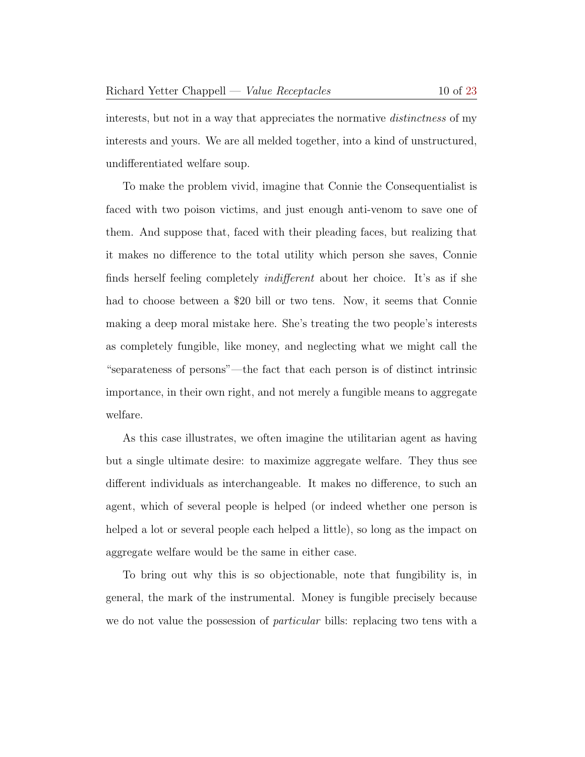interests, but not in a way that appreciates the normative *distinctness* of my interests and yours. We are all melded together, into a kind of unstructured, undifferentiated welfare soup.

To make the problem vivid, imagine that Connie the Consequentialist is faced with two poison victims, and just enough anti-venom to save one of them. And suppose that, faced with their pleading faces, but realizing that it makes no difference to the total utility which person she saves, Connie finds herself feeling completely indifferent about her choice. It's as if she had to choose between a \$20 bill or two tens. Now, it seems that Connie making a deep moral mistake here. She's treating the two people's interests as completely fungible, like money, and neglecting what we might call the "separateness of persons"—the fact that each person is of distinct intrinsic importance, in their own right, and not merely a fungible means to aggregate welfare.

As this case illustrates, we often imagine the utilitarian agent as having but a single ultimate desire: to maximize aggregate welfare. They thus see different individuals as interchangeable. It makes no difference, to such an agent, which of several people is helped (or indeed whether one person is helped a lot or several people each helped a little), so long as the impact on aggregate welfare would be the same in either case.

To bring out why this is so objectionable, note that fungibility is, in general, the mark of the instrumental. Money is fungible precisely because we do not value the possession of *particular* bills: replacing two tens with a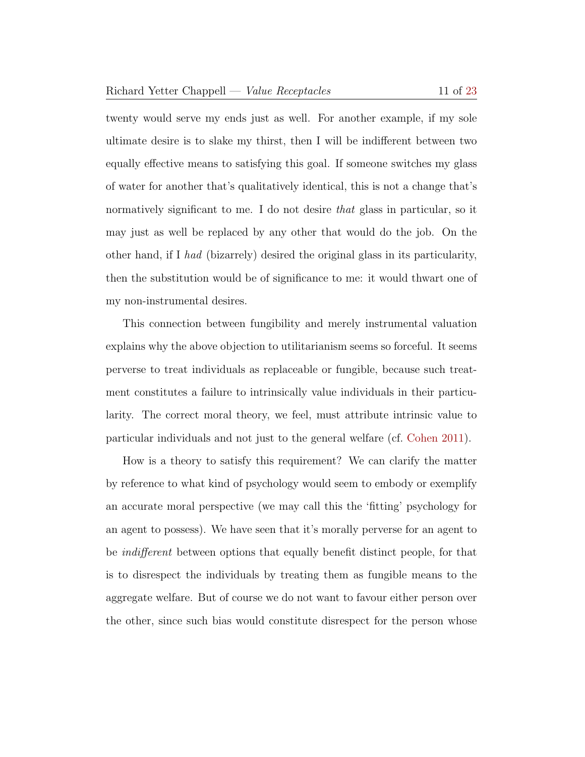twenty would serve my ends just as well. For another example, if my sole ultimate desire is to slake my thirst, then I will be indifferent between two equally effective means to satisfying this goal. If someone switches my glass of water for another that's qualitatively identical, this is not a change that's normatively significant to me. I do not desire that glass in particular, so it may just as well be replaced by any other that would do the job. On the other hand, if I had (bizarrely) desired the original glass in its particularity, then the substitution would be of significance to me: it would thwart one of my non-instrumental desires.

This connection between fungibility and merely instrumental valuation explains why the above objection to utilitarianism seems so forceful. It seems perverse to treat individuals as replaceable or fungible, because such treatment constitutes a failure to intrinsically value individuals in their particularity. The correct moral theory, we feel, must attribute intrinsic value to particular individuals and not just to the general welfare (cf. [Cohen](#page-22-6) [2011\)](#page-22-6).

How is a theory to satisfy this requirement? We can clarify the matter by reference to what kind of psychology would seem to embody or exemplify an accurate moral perspective (we may call this the 'fitting' psychology for an agent to possess). We have seen that it's morally perverse for an agent to be indifferent between options that equally benefit distinct people, for that is to disrespect the individuals by treating them as fungible means to the aggregate welfare. But of course we do not want to favour either person over the other, since such bias would constitute disrespect for the person whose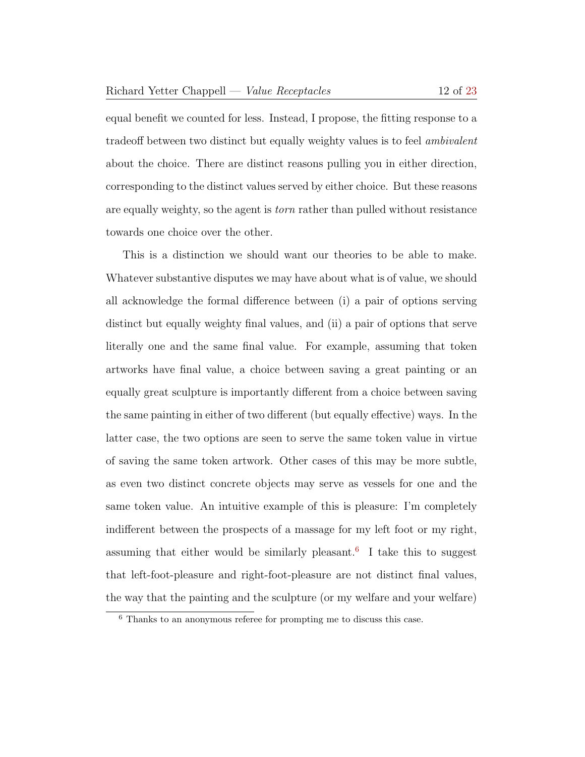equal benefit we counted for less. Instead, I propose, the fitting response to a tradeoff between two distinct but equally weighty values is to feel ambivalent about the choice. There are distinct reasons pulling you in either direction, corresponding to the distinct values served by either choice. But these reasons are equally weighty, so the agent is torn rather than pulled without resistance towards one choice over the other.

This is a distinction we should want our theories to be able to make. Whatever substantive disputes we may have about what is of value, we should all acknowledge the formal difference between (i) a pair of options serving distinct but equally weighty final values, and (ii) a pair of options that serve literally one and the same final value. For example, assuming that token artworks have final value, a choice between saving a great painting or an equally great sculpture is importantly different from a choice between saving the same painting in either of two different (but equally effective) ways. In the latter case, the two options are seen to serve the same token value in virtue of saving the same token artwork. Other cases of this may be more subtle, as even two distinct concrete objects may serve as vessels for one and the same token value. An intuitive example of this is pleasure: I'm completely indifferent between the prospects of a massage for my left foot or my right, assuming that either would be similarly pleasant.<sup>[6](#page-11-0)</sup> I take this to suggest that left-foot-pleasure and right-foot-pleasure are not distinct final values, the way that the painting and the sculpture (or my welfare and your welfare)

<span id="page-11-0"></span><sup>6</sup> Thanks to an anonymous referee for prompting me to discuss this case.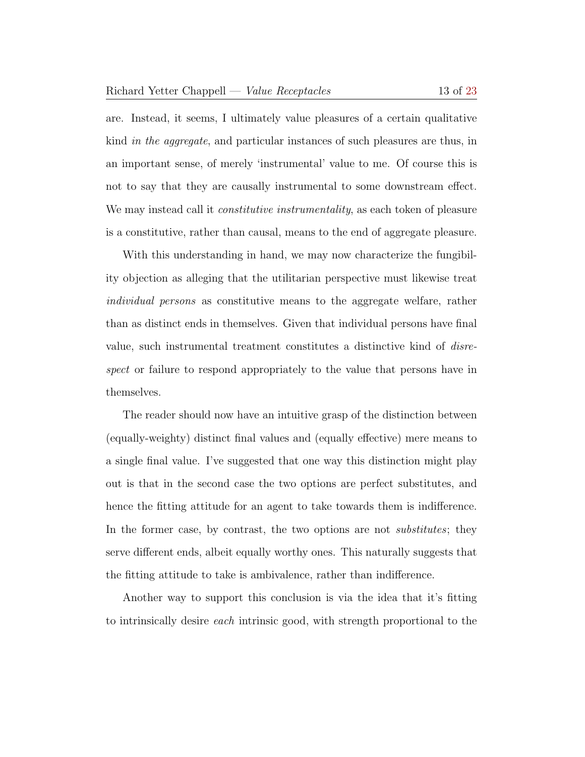are. Instead, it seems, I ultimately value pleasures of a certain qualitative kind in the aggregate, and particular instances of such pleasures are thus, in an important sense, of merely 'instrumental' value to me. Of course this is not to say that they are causally instrumental to some downstream effect. We may instead call it *constitutive instrumentality*, as each token of pleasure is a constitutive, rather than causal, means to the end of aggregate pleasure.

With this understanding in hand, we may now characterize the fungibility objection as alleging that the utilitarian perspective must likewise treat individual persons as constitutive means to the aggregate welfare, rather than as distinct ends in themselves. Given that individual persons have final value, such instrumental treatment constitutes a distinctive kind of disrespect or failure to respond appropriately to the value that persons have in themselves.

The reader should now have an intuitive grasp of the distinction between (equally-weighty) distinct final values and (equally effective) mere means to a single final value. I've suggested that one way this distinction might play out is that in the second case the two options are perfect substitutes, and hence the fitting attitude for an agent to take towards them is indifference. In the former case, by contrast, the two options are not *substitutes*; they serve different ends, albeit equally worthy ones. This naturally suggests that the fitting attitude to take is ambivalence, rather than indifference.

Another way to support this conclusion is via the idea that it's fitting to intrinsically desire each intrinsic good, with strength proportional to the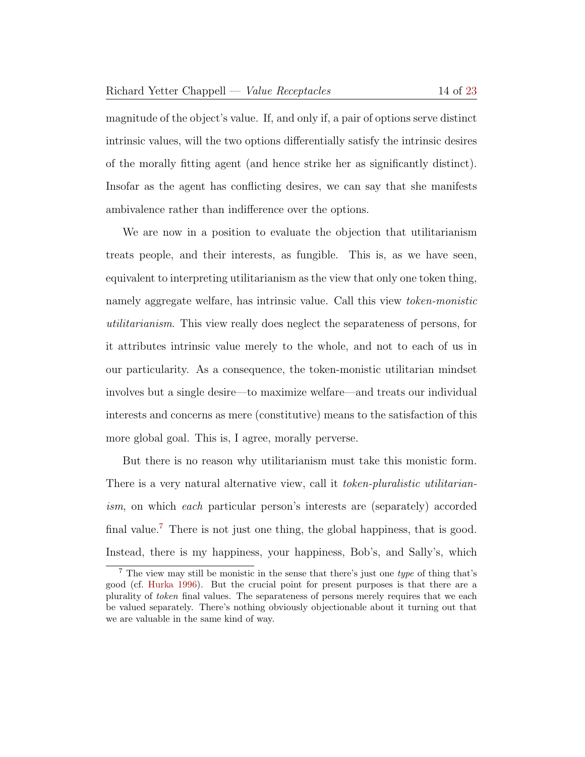magnitude of the object's value. If, and only if, a pair of options serve distinct intrinsic values, will the two options differentially satisfy the intrinsic desires of the morally fitting agent (and hence strike her as significantly distinct). Insofar as the agent has conflicting desires, we can say that she manifests ambivalence rather than indifference over the options.

We are now in a position to evaluate the objection that utilitarianism treats people, and their interests, as fungible. This is, as we have seen, equivalent to interpreting utilitarianism as the view that only one token thing, namely aggregate welfare, has intrinsic value. Call this view *token-monistic* utilitarianism. This view really does neglect the separateness of persons, for it attributes intrinsic value merely to the whole, and not to each of us in our particularity. As a consequence, the token-monistic utilitarian mindset involves but a single desire—to maximize welfare—and treats our individual interests and concerns as mere (constitutive) means to the satisfaction of this more global goal. This is, I agree, morally perverse.

But there is no reason why utilitarianism must take this monistic form. There is a very natural alternative view, call it *token-pluralistic utilitarian*ism, on which each particular person's interests are (separately) accorded final value.<sup>[7](#page-13-0)</sup> There is not just one thing, the global happiness, that is good. Instead, there is my happiness, your happiness, Bob's, and Sally's, which

<span id="page-13-0"></span><sup>7</sup> The view may still be monistic in the sense that there's just one type of thing that's good (cf. [Hurka](#page-22-7) [1996\)](#page-22-7). But the crucial point for present purposes is that there are a plurality of token final values. The separateness of persons merely requires that we each be valued separately. There's nothing obviously objectionable about it turning out that we are valuable in the same kind of way.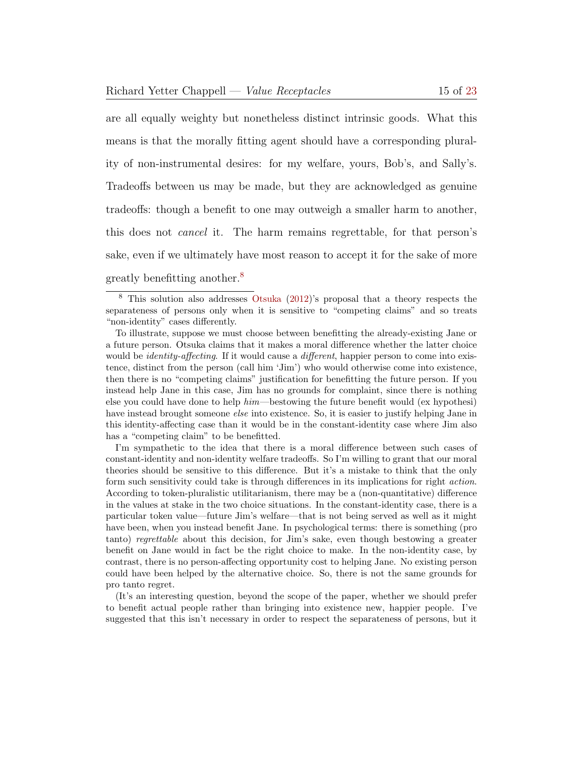are all equally weighty but nonetheless distinct intrinsic goods. What this means is that the morally fitting agent should have a corresponding plurality of non-instrumental desires: for my welfare, yours, Bob's, and Sally's. Tradeoffs between us may be made, but they are acknowledged as genuine

tradeoffs: though a benefit to one may outweigh a smaller harm to another, this does not cancel it. The harm remains regrettable, for that person's

sake, even if we ultimately have most reason to accept it for the sake of more

greatly benefitting another.<sup>[8](#page-14-0)</sup>

I'm sympathetic to the idea that there is a moral difference between such cases of constant-identity and non-identity welfare tradeoffs. So I'm willing to grant that our moral theories should be sensitive to this difference. But it's a mistake to think that the only form such sensitivity could take is through differences in its implications for right action. According to token-pluralistic utilitarianism, there may be a (non-quantitative) difference in the values at stake in the two choice situations. In the constant-identity case, there is a particular token value—future Jim's welfare—that is not being served as well as it might have been, when you instead benefit Jane. In psychological terms: there is something (pro tanto) regrettable about this decision, for Jim's sake, even though bestowing a greater benefit on Jane would in fact be the right choice to make. In the non-identity case, by contrast, there is no person-affecting opportunity cost to helping Jane. No existing person could have been helped by the alternative choice. So, there is not the same grounds for pro tanto regret.

(It's an interesting question, beyond the scope of the paper, whether we should prefer to benefit actual people rather than bringing into existence new, happier people. I've suggested that this isn't necessary in order to respect the separateness of persons, but it

<span id="page-14-0"></span><sup>8</sup> This solution also addresses [Otsuka](#page-22-8) [\(2012\)](#page-22-8)'s proposal that a theory respects the separateness of persons only when it is sensitive to "competing claims" and so treats "non-identity" cases differently.

To illustrate, suppose we must choose between benefitting the already-existing Jane or a future person. Otsuka claims that it makes a moral difference whether the latter choice would be *identity-affecting*. If it would cause a *different*, happier person to come into existence, distinct from the person (call him 'Jim') who would otherwise come into existence, then there is no "competing claims" justification for benefitting the future person. If you instead help Jane in this case, Jim has no grounds for complaint, since there is nothing else you could have done to help him—bestowing the future benefit would (ex hypothesi) have instead brought someone *else* into existence. So, it is easier to justify helping Jane in this identity-affecting case than it would be in the constant-identity case where Jim also has a "competing claim" to be benefitted.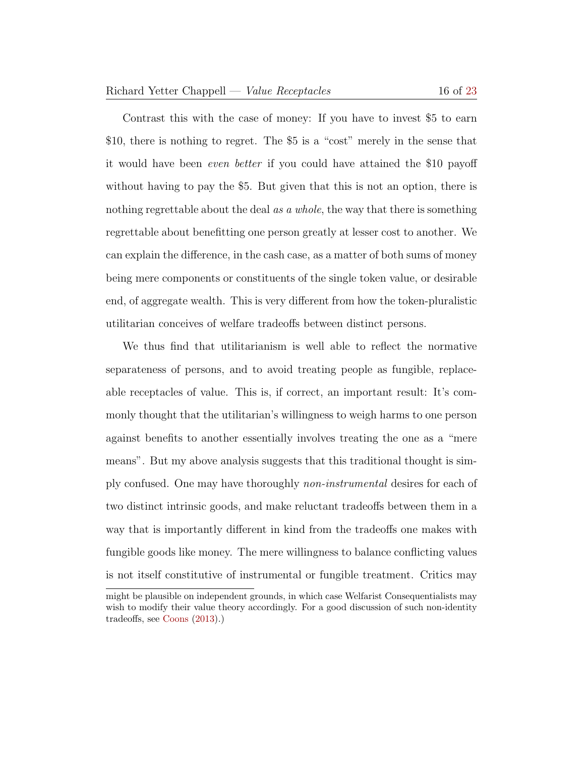Contrast this with the case of money: If you have to invest \$5 to earn \$10, there is nothing to regret. The \$5 is a "cost" merely in the sense that it would have been even better if you could have attained the \$10 payoff without having to pay the \$5. But given that this is not an option, there is nothing regrettable about the deal as a whole, the way that there is something regrettable about benefitting one person greatly at lesser cost to another. We can explain the difference, in the cash case, as a matter of both sums of money being mere components or constituents of the single token value, or desirable end, of aggregate wealth. This is very different from how the token-pluralistic utilitarian conceives of welfare tradeoffs between distinct persons.

We thus find that utilitarianism is well able to reflect the normative separateness of persons, and to avoid treating people as fungible, replaceable receptacles of value. This is, if correct, an important result: It's commonly thought that the utilitarian's willingness to weigh harms to one person against benefits to another essentially involves treating the one as a "mere means". But my above analysis suggests that this traditional thought is simply confused. One may have thoroughly non-instrumental desires for each of two distinct intrinsic goods, and make reluctant tradeoffs between them in a way that is importantly different in kind from the tradeoffs one makes with fungible goods like money. The mere willingness to balance conflicting values is not itself constitutive of instrumental or fungible treatment. Critics may

might be plausible on independent grounds, in which case Welfarist Consequentialists may wish to modify their value theory accordingly. For a good discussion of such non-identity tradeoffs, see [Coons](#page-22-9) [\(2013\)](#page-22-9).)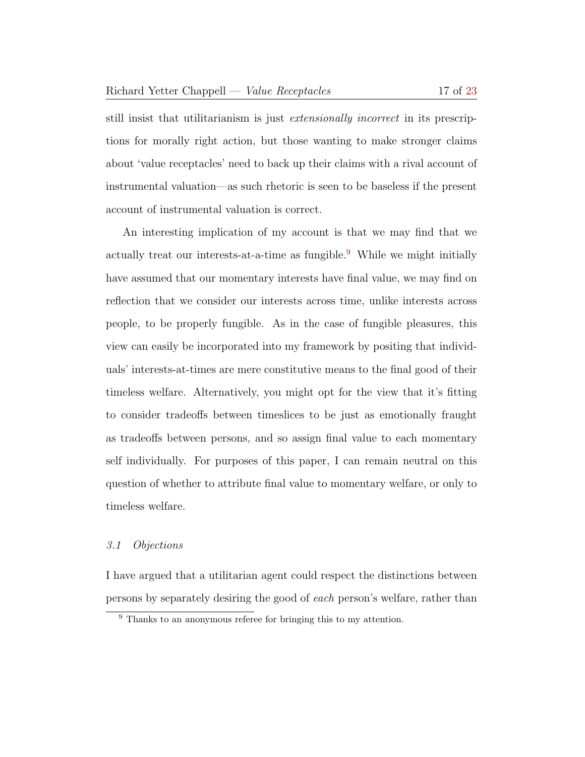still insist that utilitarianism is just extensionally incorrect in its prescriptions for morally right action, but those wanting to make stronger claims about 'value receptacles' need to back up their claims with a rival account of instrumental valuation—as such rhetoric is seen to be baseless if the present account of instrumental valuation is correct.

An interesting implication of my account is that we may find that we actually treat our interests-at-a-time as fungible.<sup>[9](#page-16-0)</sup> While we might initially have assumed that our momentary interests have final value, we may find on reflection that we consider our interests across time, unlike interests across people, to be properly fungible. As in the case of fungible pleasures, this view can easily be incorporated into my framework by positing that individuals' interests-at-times are mere constitutive means to the final good of their timeless welfare. Alternatively, you might opt for the view that it's fitting to consider tradeoffs between timeslices to be just as emotionally fraught as tradeoffs between persons, and so assign final value to each momentary self individually. For purposes of this paper, I can remain neutral on this question of whether to attribute final value to momentary welfare, or only to timeless welfare.

#### 3.1 Objections

I have argued that a utilitarian agent could respect the distinctions between persons by separately desiring the good of each person's welfare, rather than

<span id="page-16-0"></span><sup>&</sup>lt;sup>9</sup> Thanks to an anonymous referee for bringing this to my attention.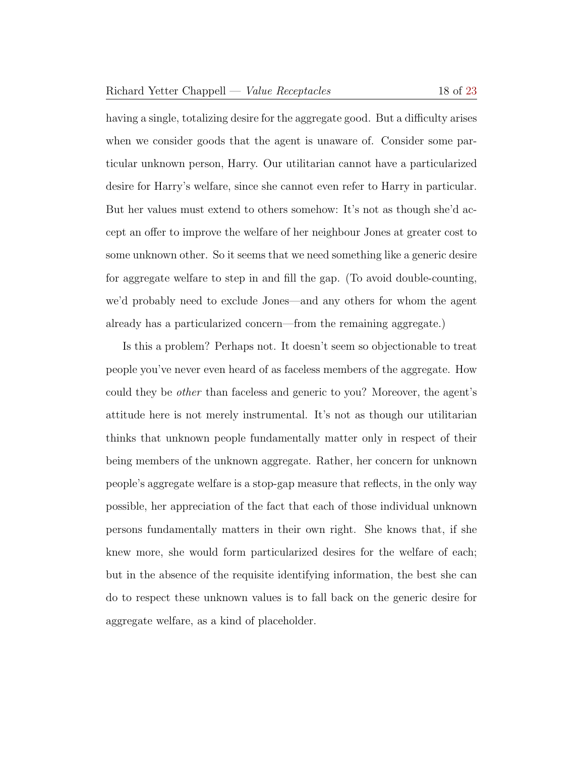having a single, totalizing desire for the aggregate good. But a difficulty arises when we consider goods that the agent is unaware of. Consider some particular unknown person, Harry. Our utilitarian cannot have a particularized desire for Harry's welfare, since she cannot even refer to Harry in particular. But her values must extend to others somehow: It's not as though she'd accept an offer to improve the welfare of her neighbour Jones at greater cost to some unknown other. So it seems that we need something like a generic desire for aggregate welfare to step in and fill the gap. (To avoid double-counting, we'd probably need to exclude Jones—and any others for whom the agent already has a particularized concern—from the remaining aggregate.)

Is this a problem? Perhaps not. It doesn't seem so objectionable to treat people you've never even heard of as faceless members of the aggregate. How could they be other than faceless and generic to you? Moreover, the agent's attitude here is not merely instrumental. It's not as though our utilitarian thinks that unknown people fundamentally matter only in respect of their being members of the unknown aggregate. Rather, her concern for unknown people's aggregate welfare is a stop-gap measure that reflects, in the only way possible, her appreciation of the fact that each of those individual unknown persons fundamentally matters in their own right. She knows that, if she knew more, she would form particularized desires for the welfare of each; but in the absence of the requisite identifying information, the best she can do to respect these unknown values is to fall back on the generic desire for aggregate welfare, as a kind of placeholder.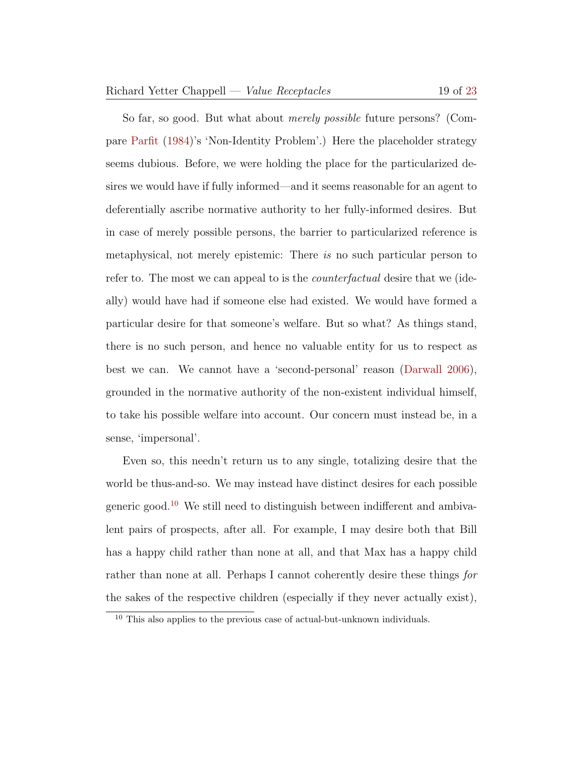So far, so good. But what about *merely possible* future persons? (Compare [Parfit](#page-22-3) [\(1984\)](#page-22-3)'s 'Non-Identity Problem'.) Here the placeholder strategy seems dubious. Before, we were holding the place for the particularized desires we would have if fully informed—and it seems reasonable for an agent to deferentially ascribe normative authority to her fully-informed desires. But in case of merely possible persons, the barrier to particularized reference is metaphysical, not merely epistemic: There is no such particular person to refer to. The most we can appeal to is the counterfactual desire that we (ideally) would have had if someone else had existed. We would have formed a particular desire for that someone's welfare. But so what? As things stand, there is no such person, and hence no valuable entity for us to respect as best we can. We cannot have a 'second-personal' reason [\(Darwall](#page-22-10) [2006\)](#page-22-10), grounded in the normative authority of the non-existent individual himself, to take his possible welfare into account. Our concern must instead be, in a sense, 'impersonal'.

Even so, this needn't return us to any single, totalizing desire that the world be thus-and-so. We may instead have distinct desires for each possible generic good.[10](#page-18-0) We still need to distinguish between indifferent and ambivalent pairs of prospects, after all. For example, I may desire both that Bill has a happy child rather than none at all, and that Max has a happy child rather than none at all. Perhaps I cannot coherently desire these things for the sakes of the respective children (especially if they never actually exist),

<span id="page-18-0"></span><sup>10</sup> This also applies to the previous case of actual-but-unknown individuals.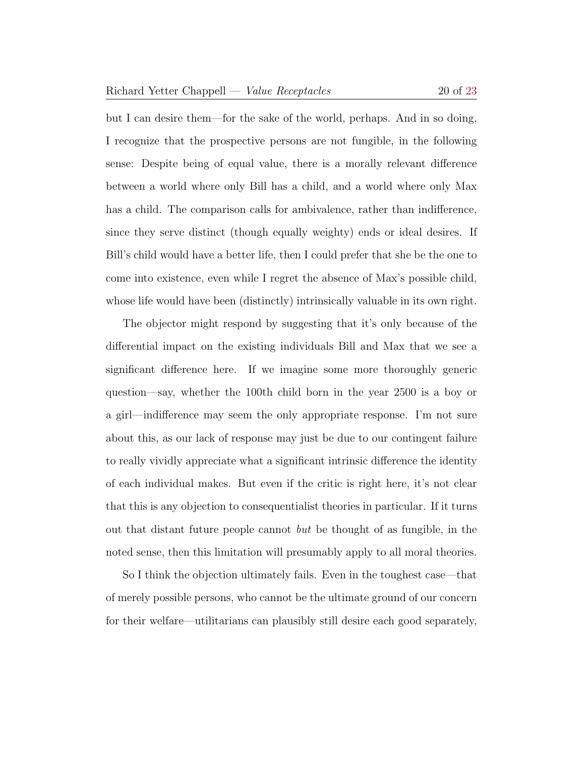but I can desire them—for the sake of the world, perhaps. And in so doing, I recognize that the prospective persons are not fungible, in the following sense: Despite being of equal value, there is a morally relevant difference between a world where only Bill has a child, and a world where only Max has a child. The comparison calls for ambivalence, rather than indifference, since they serve distinct (though equally weighty) ends or ideal desires. If Bill's child would have a better life, then I could prefer that she be the one to come into existence, even while I regret the absence of Max's possible child, whose life would have been (distinctly) intrinsically valuable in its own right.

The objector might respond by suggesting that it's only because of the differential impact on the existing individuals Bill and Max that we see a significant difference here. If we imagine some more thoroughly generic question—say, whether the 100th child born in the year 2500 is a boy or a girl—indifference may seem the only appropriate response. I'm not sure about this, as our lack of response may just be due to our contingent failure to really vividly appreciate what a significant intrinsic difference the identity of each individual makes. But even if the critic is right here, it's not clear that this is any objection to consequentialist theories in particular. If it turns out that distant future people cannot but be thought of as fungible, in the noted sense, then this limitation will presumably apply to all moral theories.

So I think the objection ultimately fails. Even in the toughest case—that of merely possible persons, who cannot be the ultimate ground of our concern for their welfare—utilitarians can plausibly still desire each good separately,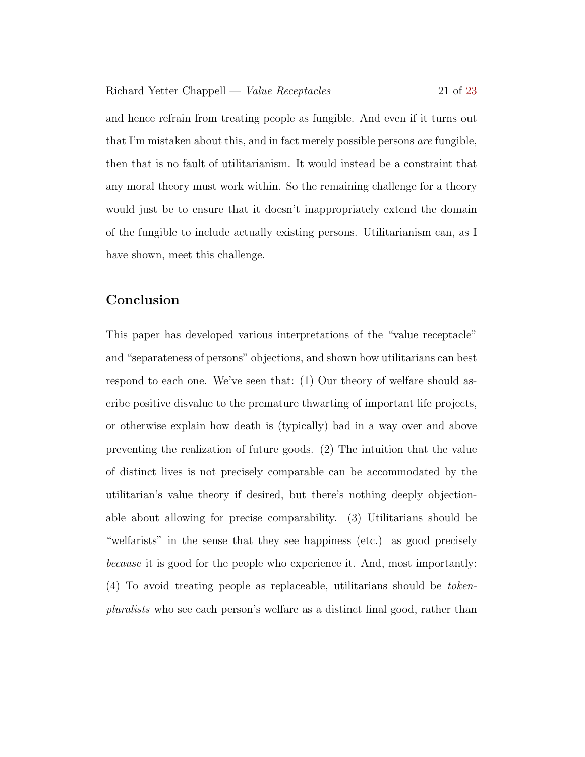and hence refrain from treating people as fungible. And even if it turns out that I'm mistaken about this, and in fact merely possible persons are fungible, then that is no fault of utilitarianism. It would instead be a constraint that any moral theory must work within. So the remaining challenge for a theory would just be to ensure that it doesn't inappropriately extend the domain of the fungible to include actually existing persons. Utilitarianism can, as I have shown, meet this challenge.

# Conclusion

This paper has developed various interpretations of the "value receptacle" and "separateness of persons" objections, and shown how utilitarians can best respond to each one. We've seen that: (1) Our theory of welfare should ascribe positive disvalue to the premature thwarting of important life projects, or otherwise explain how death is (typically) bad in a way over and above preventing the realization of future goods. (2) The intuition that the value of distinct lives is not precisely comparable can be accommodated by the utilitarian's value theory if desired, but there's nothing deeply objectionable about allowing for precise comparability. (3) Utilitarians should be "welfarists" in the sense that they see happiness (etc.) as good precisely because it is good for the people who experience it. And, most importantly: (4) To avoid treating people as replaceable, utilitarians should be tokenpluralists who see each person's welfare as a distinct final good, rather than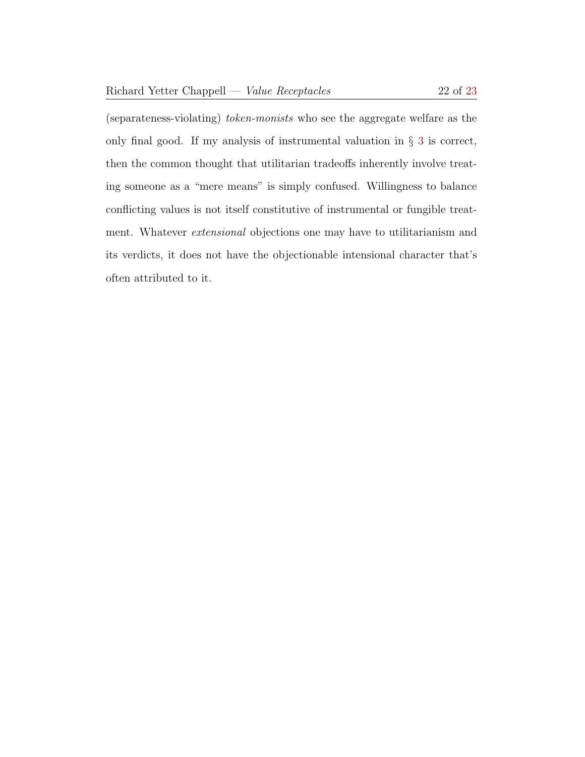(separateness-violating) token-monists who see the aggregate welfare as the only final good. If my analysis of instrumental valuation in  $\S$  [3](#page-8-0) is correct, then the common thought that utilitarian tradeoffs inherently involve treating someone as a "mere means" is simply confused. Willingness to balance conflicting values is not itself constitutive of instrumental or fungible treatment. Whatever extensional objections one may have to utilitarianism and its verdicts, it does not have the objectionable intensional character that's

often attributed to it.